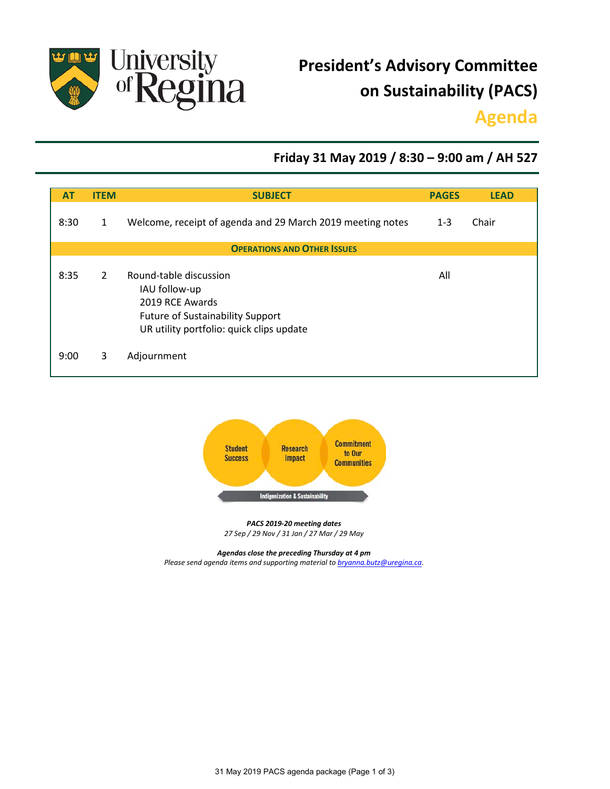

# **President's Advisory Committee on Sustainability (PACS)**

## **Agenda**

### **Friday 31 May 2019 / 8:30 – 9:00 am / AH 527**

| A <sub>1</sub>                     | <b>ITEM</b>  | <b>SUBJECT</b>                                                                                                                                    | <b>PAGES</b> | <b>LEAD</b> |
|------------------------------------|--------------|---------------------------------------------------------------------------------------------------------------------------------------------------|--------------|-------------|
| 8:30                               | $\mathbf{1}$ | Welcome, receipt of agenda and 29 March 2019 meeting notes                                                                                        | $1 - 3$      | Chair       |
| <b>OPERATIONS AND OTHER ISSUES</b> |              |                                                                                                                                                   |              |             |
| 8:35                               | 2            | Round-table discussion<br>IAU follow-up<br>2019 RCE Awards<br><b>Future of Sustainability Support</b><br>UR utility portfolio: quick clips update | All          |             |
| 9:00                               | 3            | Adjournment                                                                                                                                       |              |             |



*PACS 2019-20 meeting dates 27 Sep / 29 Nov / 31 Jan / 27 Mar / 29 May*

*Agendas close the preceding Thursday at 4 pm Please send agenda items and supporting material to [bryanna.butz@uregina.ca.](mailto:bryanna.butz@uregina.ca)*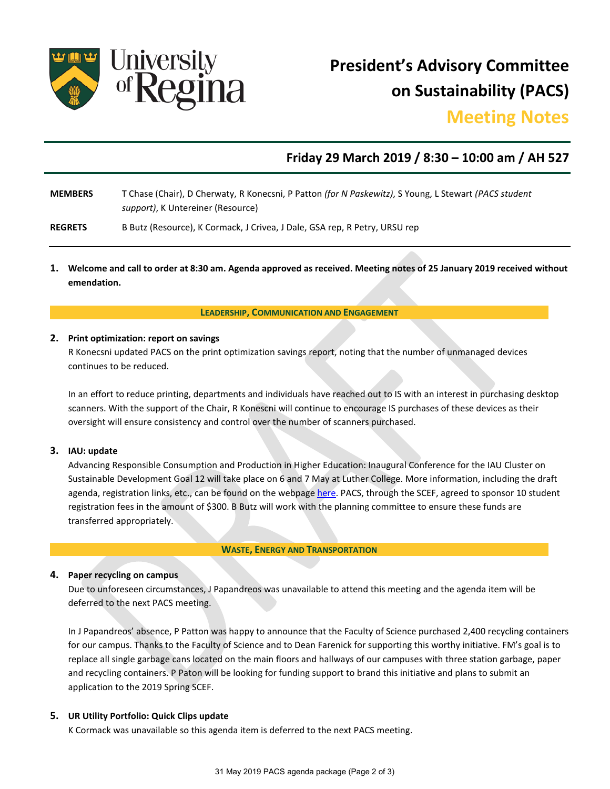

**President's Advisory Committee on Sustainability (PACS)** 

### **Meeting Notes**

### **Friday 29 March 2019 / 8:30 – 10:00 am / AH 527**

- **MEMBERS** T Chase (Chair), D Cherwaty, R Konecsni, P Patton *(for N Paskewitz)*, S Young, L Stewart *(PACS student support)*, K Untereiner (Resource)
- **REGRETS** B Butz (Resource), K Cormack, J Crivea, J Dale, GSA rep, R Petry, URSU rep
- **1. Welcome and call to order at 8:30 am. Agenda approved as received. Meeting notes of 25 January 2019 received without emendation.**

**LEADERSHIP, COMMUNICATION AND ENGAGEMENT**

#### **2. Print optimization: report on savings**

R Konecsni updated PACS on the print optimization savings report, noting that the number of unmanaged devices continues to be reduced.

In an effort to reduce printing, departments and individuals have reached out to IS with an interest in purchasing desktop scanners. With the support of the Chair, R Konescni will continue to encourage IS purchases of these devices as their oversight will ensure consistency and control over the number of scanners purchased.

#### **3. IAU: update**

Advancing Responsible Consumption and Production in Higher Education: Inaugural Conference for the IAU Cluster on Sustainable Development Goal 12 will take place on 6 and 7 May at Luther College. More information, including the draft agenda, registration links, etc., can be found on the webpag[e here.](https://www.luthercollege.edu/university/alumni-friends/events/iau-sustainable-development-goal-12-inaugural-conference) PACS, through the SCEF, agreed to sponsor 10 student registration fees in the amount of \$300. B Butz will work with the planning committee to ensure these funds are transferred appropriately.

#### **WASTE, ENERGY AND TRANSPORTATION**

#### **4. Paper recycling on campus**

Due to unforeseen circumstances, J Papandreos was unavailable to attend this meeting and the agenda item will be deferred to the next PACS meeting.

In J Papandreos' absence, P Patton was happy to announce that the Faculty of Science purchased 2,400 recycling containers for our campus. Thanks to the Faculty of Science and to Dean Farenick for supporting this worthy initiative. FM's goal is to replace all single garbage cans located on the main floors and hallways of our campuses with three station garbage, paper and recycling containers. P Paton will be looking for funding support to brand this initiative and plans to submit an application to the 2019 Spring SCEF.

#### **5. UR Utility Portfolio: Quick Clips update**

K Cormack was unavailable so this agenda item is deferred to the next PACS meeting.